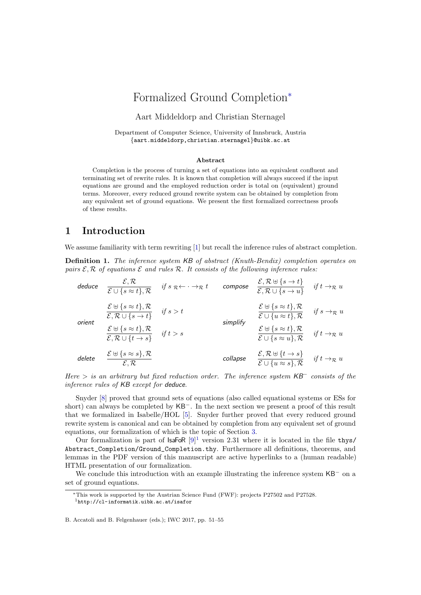# Formalized Ground Completion<sup>∗</sup>

### Aart Middeldorp and Christian Sternagel

Department of Computer Science, University of Innsbruck, Austria {aart.middeldorp,christian.sternagel}@uibk.ac.at

#### Abstract

Completion is the process of turning a set of equations into an equivalent confluent and terminating set of rewrite rules. It is known that completion will always succeed if the input equations are ground and the employed reduction order is total on (equivalent) ground terms. Moreover, every reduced ground rewrite system can be obtained by completion from any equivalent set of ground equations. We present the first formalized correctness proofs of these results.

# 1 Introduction

We assume familiarity with term rewriting [\[1\]](#page-4-0) but recall the inference rules of abstract completion.

Definition 1. The inference system KB [of abstract \(Knuth-Bendix\) completion operates on](http://cl-informatik.uibk.ac.at/isafor/v2.31/IWC2017/Ground_Completion.html#gkb) pairs  $\mathcal{E}, \mathcal{R}$  of equations  $\mathcal{E}$  and rules  $\mathcal{R}$ [. It consists of the following inference rules:](http://cl-informatik.uibk.ac.at/isafor/v2.31/IWC2017/Ground_Completion.html#gkb)

| deduce | $\mathcal{E}, \mathcal{R}$<br>$\overline{\mathcal{E}\cup\{s\approx t\},\mathcal{R}}$                          | if $s \mathcal{R} \leftarrow \cdot \rightarrow \mathcal{R} t$ | compose  | $\mathcal{E}, \mathcal{R} \boxplus \{s \to t\}$<br>$\overline{\mathcal{E}, \mathcal{R} \cup \{s \to u\}}$   | if $t \rightarrow_{\mathcal{R}} u$ |
|--------|---------------------------------------------------------------------------------------------------------------|---------------------------------------------------------------|----------|-------------------------------------------------------------------------------------------------------------|------------------------------------|
| orient | $\frac{\mathcal{E} \boxplus \{s \approx t\}, \mathcal{R}}{\mathcal{E}, \mathcal{R} \cup \{s \rightarrow t\}}$ | if $s > t$                                                    | simplify | $\mathcal{E} \uplus \{s \approx t\}, \mathcal{R}$<br>$\mathcal{E} \cup \{u \approx t\}, \mathcal{R}$        | if $s \rightarrow_{\mathcal{R}} u$ |
|        | $\frac{\mathcal{E} \boxplus \{s \approx t\}, \mathcal{R}}{\mathcal{E}, \mathcal{R} \cup \{t \to s\}}$         | if $t > s$                                                    |          | $\mathcal{E} \uplus \{s \approx t\}, \mathcal{R}$<br>$\overline{\mathcal{E}\cup\{s\approx u\},\mathcal{R}}$ | if $t \rightarrow_{\mathcal{R}} u$ |
| delete | $\mathcal{E} \uplus \{s \approx s\}, \mathcal{R}$<br>$\mathcal{E}, \mathcal{R}$                               |                                                               | collapse | $\mathcal{E}, \mathcal{R} \uplus \{t \to s\}$<br>$\overline{\mathcal{E}\cup\{u\approx s\},\mathcal{R}}$     | if $t \rightarrow_{\mathcal{R}} u$ |

Here  $>$  [is an arbitrary but fixed reduction order. The inference system](http://cl-informatik.uibk.ac.at/isafor/v2.31/IWC2017/Ground_Completion.html#gkb)  $\mathsf{K}\mathsf{B}^-$  consists of the [inference rules of](http://cl-informatik.uibk.ac.at/isafor/v2.31/IWC2017/Ground_Completion.html#gkb) KB except for deduce.

Snyder [\[8\]](#page-4-1) proved that ground sets of equations (also called equational systems or ESs for short) can always be completed by KB<sup>−</sup>. In the next section we present a proof of this result that we formalized in Isabelle/HOL [\[5\]](#page-4-2). Snyder further proved that every reduced ground rewrite system is canonical and can be obtained by completion from any equivalent set of ground equations, our formalization of which is the topic of Section [3.](#page-2-0)

Our formalization is part of  $IsaFoR [9]^1$  $IsaFoR [9]^1$  $IsaFoR [9]^1$  $IsaFoR [9]^1$  version 2.31 where it is located in the file thys/ Abstract\_Completion/Ground\_Completion.thy. Furthermore all definitions, theorems, and lemmas in the PDF version of this manuscript are active hyperlinks to a (human readable) HTML presentation of our formalization.

We conclude this introduction with an example illustrating the inference system KB<sup>−</sup> on a set of ground equations.

B. Accatoli and B. Felgenhauer (eds.); IWC 2017, pp. 51–55

<span id="page-0-0"></span><sup>∗</sup>This work is supported by the Austrian Science Fund (FWF): projects P27502 and P27528. <sup>1</sup><http://cl-informatik.uibk.ac.at/isafor>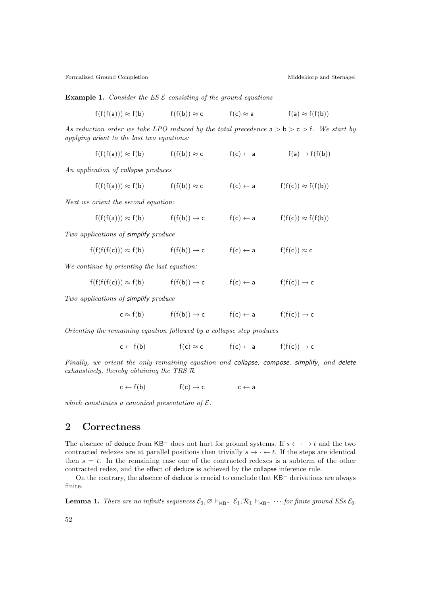Formalized Ground Completion **Middeldorp and Sternagel** Middeldorp and Sternagel

**Example 1.** Consider the ES  $\mathcal E$  consisting of the ground equations

$$
f(f(f(a))) \approx f(b)
$$
  $f(f(b)) \approx c$   $f(c) \approx a$   $f(a) \approx f(f(b))$ 

As reduction order we take LPO induced by the total precedence  $a > b > c > f$ . We start by applying orient to the last two equations:

$$
f(f(f(a))) \approx f(b) \qquad \qquad f(f(b)) \approx c \qquad \qquad f(c) \leftarrow a \qquad \qquad f(a) \rightarrow f(f(b))
$$

An application of collapse produces

 $f(f(f(a))) \approx f(b)$  f(f(b))  $\approx c$  f(c)  $\leftarrow$  a f(f(c))  $\approx f(f(b))$ 

Next we orient the second equation:

$$
f(f(f(a))) \approx f(b) \qquad \qquad f(f(b)) \to c \qquad \qquad f(c) \leftarrow a \qquad \qquad f(f(c)) \approx f(f(b))
$$

Two applications of simplify produce

$$
f(f(f(f(c))) \approx f(b) \qquad \qquad f(f(b)) \to c \qquad \qquad f(c) \leftarrow a \qquad \qquad f(f(c)) \approx c
$$

We continue by orienting the last equation:

$$
f(f(f(f(c))) \approx f(b) \qquad \qquad f(f(b)) \to c \qquad \qquad f(c) \leftarrow a \qquad \qquad f(f(c)) \to c
$$

Two applications of simplify produce

$$
c \approx f(b) \qquad \qquad f(f(b)) \to c \qquad \qquad f(c) \leftarrow a \qquad \qquad f(f(c)) \to c
$$

Orienting the remaining equation followed by a collapse step produces

$$
c \leftarrow f(b) \qquad \qquad f(c) \approx c \qquad \qquad f(c) \leftarrow a \qquad \qquad f(f(c)) \rightarrow c
$$

Finally, we orient the only remaining equation and collapse, compose, simplify, and delete exhaustively, thereby obtaining the TRS R

$$
c \leftarrow f(b) \qquad \qquad f(c) \rightarrow c \qquad \qquad c \leftarrow a
$$

which constitutes a canonical presentation of  $\mathcal{E}.$ 

# 2 Correctness

The absence of deduce from KB<sup>-</sup> does not hurt for ground systems. If  $s \leftarrow \cdot \rightarrow t$  and the two contracted redexes are at parallel positions then trivially  $s \to \cdot \leftarrow t$ . If the steps are identical then  $s = t$ . In the remaining case one of the contracted redexes is a subterm of the other contracted redex, and the effect of deduce is achieved by the collapse inference rule.

On the contrary, the absence of deduce is crucial to conclude that KB<sup>−</sup> derivations are always finite.

**Lemma 1.** [There are no infinite sequences](http://cl-informatik.uibk.ac.at/isafor/v2.31/IWC2017/Ground_Completion.html#SN_on_GKB)  $\mathcal{E}_0$ ,  $\varnothing \vdash_{\mathsf{KB}^{-}} \mathcal{E}_1$ ,  $\mathcal{R}_1 \vdash_{\mathsf{KR}^{-}} \cdots$  for finite ground ESs  $\mathcal{E}_0$ .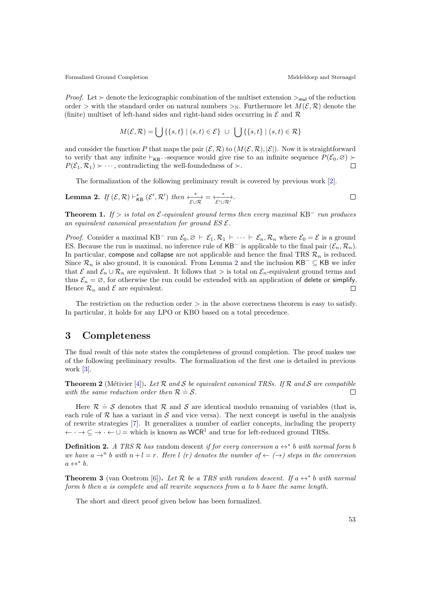*Proof.* Let  $\succ$  denote the lexicographic combination of the multiset extension  $>\mathbf{v}_{\text{mul}}$  of the reduction order > with the standard order on natural numbers ><sub>N</sub>. Furthermore let  $M(\mathcal{E}, \mathcal{R})$  denote the (finite) multiset of left-hand sides and right-hand sides occurring in  $\mathcal E$  and  $\mathcal R$ 

$$
M(\mathcal{E}, \mathcal{R}) = \bigcup \{ \{s, t\} \mid (s, t) \in \mathcal{E} \} \cup \bigcup \{ \{s, t\} \mid (s, t) \in \mathcal{R} \}
$$

and consider the function P that maps the pair  $(\mathcal{E}, \mathcal{R})$  to  $(M(\mathcal{E}, \mathcal{R}), |\mathcal{E}|)$ . Now it is straightforward to verify that any infinite  $\vdash_{\mathsf{KB}-}$ -sequence would give rise to an infinite sequence  $P(\mathcal{E}_0, \varnothing) \succ P(\mathcal{E}_1, \mathcal{R}_1) \succ \cdots$  contradicting the well-foundedness of  $\succ$  $P(\mathcal{E}_1, \mathcal{R}_1) \succ \cdots$ , contradicting the well-foundedness of  $\succ$ .

The formalization of the following preliminary result is covered by previous work [\[2\]](#page-4-4).

<span id="page-2-1"></span>**Lemma 2.** If 
$$
(\mathcal{E}, \mathcal{R}) \vdash_{\mathsf{KB}}^* (\mathcal{E}', \mathcal{R}')
$$
 then  $\xrightarrow[\mathcal{E} \cup \mathcal{R}]} \xrightarrow[\mathcal{E}' \cup \mathcal{R}']$ .

<span id="page-2-2"></span>**Theorem 1.** If  $>$  is total on  $\mathcal{E}$ [-equivalent ground terms then every maximal](http://cl-informatik.uibk.ac.at/isafor/v2.31/IWC2017/Ground_Completion.html#ground_max_run_canonical) KB<sup>-</sup> run produces an equivalent canonical presentation for ground  $ES \mathcal{E}$ .

*Proof.* Consider a maximal KB<sup>-</sup> run  $\mathcal{E}_0, \varnothing \vdash \mathcal{E}_1, \mathcal{R}_1 \vdash \cdots \vdash \mathcal{E}_n, \mathcal{R}_n$  where  $\mathcal{E}_0 = \mathcal{E}$  is a ground ES. Because the run is maximal, no inference rule of KB<sup>-</sup> is applicable to the final pair  $(\mathcal{E}_n, \mathcal{R}_n)$ . In particular, compose and collapse are not applicable and hence the final TRS  $\mathcal{R}_n$  is reduced. Since  $\mathcal{R}_n$  is also ground, it is canonical. From Lemma [2](#page-2-1) and the inclusion KB<sup>-</sup> ⊆ KB we infer that  $\mathcal E$  and  $\mathcal E_n\cup\mathcal R_n$  are equivalent. It follows that  $\gt$  is total on  $\mathcal E_n$ -equivalent ground terms and thus  $\mathcal{E}_n = \emptyset$ , for otherwise the run could be extended with an application of delete or simplify. Hence  $\mathcal{R}_n$  and  $\mathcal E$  are equivalent.  $\Box$ 

The restriction on the reduction order  $>$  in the above correctness theorem is easy to satisfy. In particular, it holds for any LPO or KBO based on a total precedence.

### <span id="page-2-0"></span>3 Completeness

The final result of this note states the completeness of ground completion. The proof makes use of the following preliminary results. The formalization of the first one is detailed in previous work [\[3\]](#page-4-5).

<span id="page-2-3"></span>**Theorem 2** (Métivier [\[4\]](#page-4-6)). Let  $\mathcal R$  and  $\mathcal S$  [be equivalent canonical TRSs. If](http://cl-informatik.uibk.ac.at/isafor/v2.31/IWC2017/Normalization_Equivalence.html#EQ_imp_litsim)  $\mathcal R$  and  $\mathcal S$  are compatible [with the same reduction order then](http://cl-informatik.uibk.ac.at/isafor/v2.31/IWC2017/Normalization_Equivalence.html#EQ_imp_litsim)  $\mathcal{R} \doteq S$ .  $\Box$ 

Here  $\mathcal{R} \doteq \mathcal{S}$  denotes that  $\mathcal R$  and  $\mathcal S$  are identical modulo renaming of variables (that is, each rule of  $\mathcal R$  has a variant in  $\mathcal S$  and vice versa). The next concept is useful in the analysis of rewrite strategies [\[7\]](#page-4-7). It generalizes a number of earlier concepts, including the property  $\leftarrow \cdot \rightarrow \subseteq \rightarrow \cdot \leftarrow \cup =$  which is known as WCR<sup>1</sup> and true for left-reduced ground TRSs.

**Definition 2.** A TRS R has random descent [if for every conversion](http://cl-informatik.uibk.ac.at/isafor/v2.31/IWC2017/Ground_Completion.html#RD)  $a \leftrightarrow^* b$  with normal form b we have  $a \rightarrow^n b$  with  $n + l = r$ . Here l (r) denotes the number of  $\leftarrow (\rightarrow)$  steps in the conversion  $a \leftrightarrow^* b$ .

<span id="page-2-4"></span>**Theorem 3** (van Oostrom [\[6\]](#page-4-8)). Let R [be a TRS with random descent. If](http://cl-informatik.uibk.ac.at/isafor/v2.31/IWC2017/Ground_Completion.html#RD_NF)  $a \leftrightarrow^* b$  with normal form b then a [is complete and all rewrite sequences from](http://cl-informatik.uibk.ac.at/isafor/v2.31/IWC2017/Ground_Completion.html#RD_NF) a to b have the same length.

The short and direct proof given below has been formalized.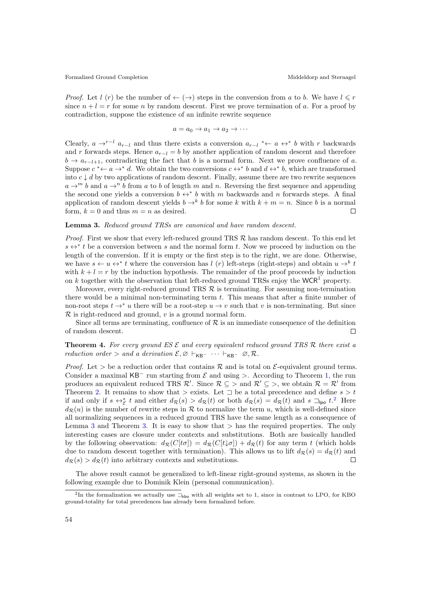*Proof.* Let l (r) be the number of  $\leftarrow (\rightarrow)$  steps in the conversion from a to b. We have  $l \leq r$ since  $n + l = r$  for some n by random descent. First we prove termination of a. For a proof by contradiction, suppose the existence of an infinite rewrite sequence

$$
a = a_0 \to a_1 \to a_2 \to \cdots
$$

Clearly,  $a \rightarrow^{r-l} a_{r-l}$  and thus there exists a conversion  $a_{r-l} \nleftrightarrow a \leftrightarrow^* b$  with r backwards and r forwards steps. Hence  $a_{r-l} = b$  by another application of random descent and therefore  $b \to a_{r-l+1}$ , contradicting the fact that b is a normal form. Next we prove confluence of a. Suppose  $c^* \leftarrow a \rightarrow^* d$ . We obtain the two conversions  $c \leftrightarrow^* b$  and  $d \leftrightarrow^* b$ , which are transformed into  $c \downarrow d$  by two applications of random descent. Finally, assume there are two rewrite sequences  $a \rightarrow^m b$  and  $a \rightarrow^n b$  from a to b of length m and n. Reversing the first sequence and appending the second one yields a conversion  $b \leftrightarrow^* b$  with m backwards and n forwards steps. A final application of random descent yields  $b \rightarrow^k b$  for some k with  $k + m = n$ . Since b is a normal form,  $k = 0$  and thus  $m = n$  as desired.  $\Box$ 

#### <span id="page-3-1"></span>Lemma 3. [Reduced ground TRSs are canonical and have random descent.](http://cl-informatik.uibk.ac.at/isafor/v2.31/IWC2017/Ground_Completion.html#reduced_ground_RD_and_canonical)

*Proof.* First we show that every left-reduced ground TRS  $\mathcal{R}$  has random descent. To this end let  $s \leftrightarrow^* t$  be a conversion between s and the normal form t. Now we proceed by induction on the length of the conversion. If it is empty or the first step is to the right, we are done. Otherwise, we have  $s \leftarrow u \leftrightarrow^* t$  where the conversion has l (r) left-steps (right-steps) and obtain  $u \to^k t$ with  $k + l = r$  by the induction hypothesis. The remainder of the proof proceeds by induction on k together with the observation that left-reduced ground TRSs enjoy the WCR<sup>1</sup> property.

Moreover, every right-reduced ground TRS  $\mathcal R$  is terminating. For assuming non-termination there would be a minimal non-terminating term t. This means that after a finite number of non-root steps  $t \to^* u$  there will be a root-step  $u \to v$  such that v is non-terminating. But since  $\mathcal R$  is right-reduced and ground,  $v$  is a ground normal form.

Since all terms are terminating, confluence of  $\mathcal R$  is an immediate consequence of the definition of random descent.  $\Box$ 

### **Theorem 4.** For every ground ES  $\mathcal{E}$  [and every equivalent reduced ground TRS](http://cl-informatik.uibk.ac.at/isafor/v2.31/IWC2017/Ground_Completion.html#gkb_complete)  $\mathcal{R}$  there exist a reduction order > [and a derivation](http://cl-informatik.uibk.ac.at/isafor/v2.31/IWC2017/Ground_Completion.html#gkb_complete)  $\mathcal{E}, \varnothing \vdash_{\sf KB} \cdots \vdash_{\sf KB} \varnothing, \mathcal{R}.$

*Proof.* Let  $>$  be a reduction order that contains  $\mathcal R$  and is total on  $\mathcal E$ -equivalent ground terms. Consider a maximal  $KB^-$  run starting from  $\mathcal E$  and using >. According to Theorem [1,](#page-2-2) the run produces an equivalent reduced TRS  $\mathcal{R}'$ . Since  $\mathcal{R} \subseteq \mathcal{R}$  and  $\mathcal{R}' \subseteq \mathcal{R}$ , we obtain  $\mathcal{R} = \mathcal{R}'$  from Theorem [2.](#page-2-3) It remains to show that  $\geq$  exists. Let  $\Box$  be a total precedence and define  $s > t$ if and only if  $s \leftrightarrow_{\mathcal{E}}^* t$  and either  $d_{\mathcal{R}}(s) > d_{\mathcal{R}}(t)$  or both  $d_{\mathcal{R}}(s) = d_{\mathcal{R}}(t)$  and  $s \sqsupset_{\mathsf{Ipo}} t$ .<sup>[2](#page-3-0)</sup> Here  $d_{\mathcal{R}}(u)$  is the number of rewrite steps in  $\mathcal R$  to normalize the term u, which is well-defined since all normalizing sequences in a reduced ground TRS have the same length as a consequence of Lemma [3](#page-3-1) and Theorem [3.](#page-2-4) It is easy to show that  $>$  has the required properties. The only interesting cases are closure under contexts and substitutions. Both are basically handled by the following observation:  $d_{\mathcal{R}}(C[t\sigma]) = d_{\mathcal{R}}(C[t\downarrow \sigma]) + d_{\mathcal{R}}(t)$  for any term t (which holds due to random descent together with termination). This allows us to lift  $d_{\mathcal{R}}(s) = d_{\mathcal{R}}(t)$  and  $d_{\mathcal{R}}(s) > d_{\mathcal{R}}(t)$  into arbitrary contexts and substitutions.  $\Box$ 

The above result cannot be generalized to left-linear right-ground systems, as shown in the following example due to Dominik Klein (personal communication).

<span id="page-3-0"></span><sup>&</sup>lt;sup>2</sup>In the formalization we actually use  $\exists_{kbo}$  with all weights set to 1, since in contrast to LPO, for KBO ground-totality for total precedences has already been formalized before.